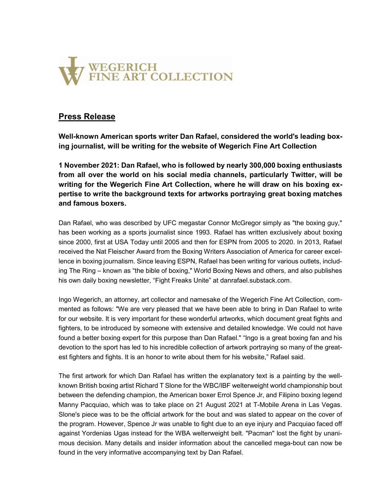

## Press Release

Well-known American sports writer Dan Rafael, considered the world's leading boxing journalist, will be writing for the website of Wegerich Fine Art Collection

1 November 2021: Dan Rafael, who is followed by nearly 300,000 boxing enthusiasts from all over the world on his social media channels, particularly Twitter, will be writing for the Wegerich Fine Art Collection, where he will draw on his boxing expertise to write the background texts for artworks portraying great boxing matches and famous boxers.

Dan Rafael, who was described by UFC megastar Connor McGregor simply as "the boxing guy," has been working as a sports journalist since 1993. Rafael has written exclusively about boxing since 2000, first at USA Today until 2005 and then for ESPN from 2005 to 2020. In 2013, Rafael received the Nat Fleischer Award from the Boxing Writers Association of America for career excellence in boxing journalism. Since leaving ESPN, Rafael has been writing for various outlets, including The Ring – known as "the bible of boxing," World Boxing News and others, and also publishes his own daily boxing newsletter, "Fight Freaks Unite" at danrafael.substack.com.

Ingo Wegerich, an attorney, art collector and namesake of the Wegerich Fine Art Collection, commented as follows: "We are very pleased that we have been able to bring in Dan Rafael to write for our website. It is very important for these wonderful artworks, which document great fights and fighters, to be introduced by someone with extensive and detailed knowledge. We could not have found a better boxing expert for this purpose than Dan Rafael." "Ingo is a great boxing fan and his devotion to the sport has led to his incredible collection of artwork portraying so many of the greatest fighters and fights. It is an honor to write about them for his website," Rafael said.

The first artwork for which Dan Rafael has written the explanatory text is a painting by the wellknown British boxing artist Richard T Slone for the WBC/IBF welterweight world championship bout between the defending champion, the American boxer Errol Spence Jr, and Filipino boxing legend Manny Pacquiao, which was to take place on 21 August 2021 at T-Mobile Arena in Las Vegas. Slone's piece was to be the official artwork for the bout and was slated to appear on the cover of the program. However, Spence Jr was unable to fight due to an eye injury and Pacquiao faced off against Yordenias Ugas instead for the WBA welterweight belt. "Pacman" lost the fight by unanimous decision. Many details and insider information about the cancelled mega-bout can now be found in the very informative accompanying text by Dan Rafael.